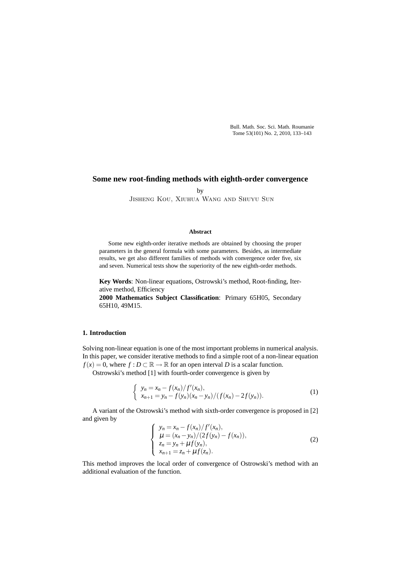Bull. Math. Soc. Sci. Math. Roumanie Tome 53(101) No. 2, 2010, 133–143

## **Some new root-finding methods with eighth-order convergence**

by

Jisheng Kou, Xiuhua Wang and Shuyu Sun

### **Abstract**

Some new eighth-order iterative methods are obtained by choosing the proper parameters in the general formula with some parameters. Besides, as intermediate results, we get also different families of methods with convergence order five, six and seven. Numerical tests show the superiority of the new eighth-order methods.

**Key Words**: Non-linear equations, Ostrowski's method, Root-finding, Iterative method, Efficiency

**2000 Mathematics Subject Classification**: Primary 65H05, Secondary 65H10, 49M15.

# **1. Introduction**

Solving non-linear equation is one of the most important problems in numerical analysis. In this paper, we consider iterative methods to find a simple root of a non-linear equation *f*(*x*) = 0, where *f* : *D* ⊂  $\mathbb{R} \to \mathbb{R}$  for an open interval *D* is a scalar function.

Ostrowski's method [1] with fourth-order convergence is given by

$$
\begin{cases} y_n = x_n - f(x_n)/f'(x_n), \\ x_{n+1} = y_n - f(y_n)(x_n - y_n)/(f(x_n) - 2f(y_n)). \end{cases}
$$
 (1)

A variant of the Ostrowski's method with sixth-order convergence is proposed in [2] and given by

$$
\begin{cases}\ny_n = x_n - f(x_n)/f'(x_n), \\
\mu = (x_n - y_n)/(2f(y_n) - f(x_n)), \\
z_n = y_n + \mu f(y_n), \\
x_{n+1} = z_n + \mu f(z_n).\n\end{cases}
$$
\n(2)

This method improves the local order of convergence of Ostrowski's method with an additional evaluation of the function.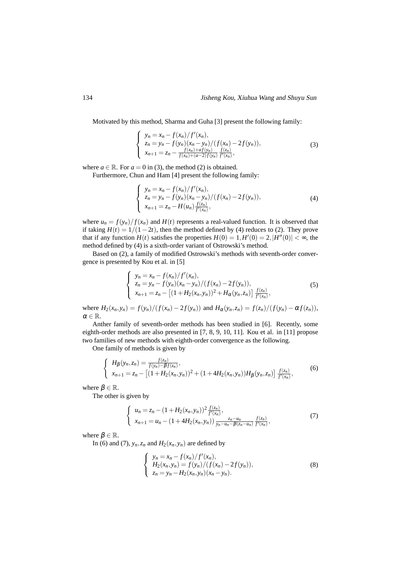Motivated by this method, Sharma and Guha [3] present the following family:

$$
\begin{cases}\n y_n = x_n - f(x_n) / f'(x_n), \\
 z_n = y_n - f(y_n) (x_n - y_n) / (f(x_n) - 2f(y_n)), \\
 x_{n+1} = z_n - \frac{f(x_n) + af(y_n)}{f(x_n) + (a-2)f(y_n)} \frac{f(z_n)}{f'(x_n)},\n\end{cases}
$$
\n(3)

where  $a \in \mathbb{R}$ . For  $a = 0$  in (3), the method (2) is obtained.

Furthermore, Chun and Ham [4] present the following family:

$$
\begin{cases}\n y_n = x_n - f(x_n) / f'(x_n), \\
 z_n = y_n - f(y_n) (x_n - y_n) / (f(x_n) - 2f(y_n)), \\
 x_{n+1} = z_n - H(u_n) \frac{f(z_n)}{f'(x_n)},\n\end{cases}
$$
\n(4)

where  $u_n = f(y_n)/f(x_n)$  and  $H(t)$  represents a real-valued function. It is observed that if taking  $H(t) = 1/(1-2t)$ , then the method defined by (4) reduces to (2). They prove that if any function  $H(t)$  satisfies the properties  $H(0) = 1, H'(0) = 2, |H''(0)| < \infty$ , the method defined by (4) is a sixth-order variant of Ostrowski's method.

Based on (2), a family of modified Ostrowski's methods with seventh-order convergence is presented by Kou et al. in [5]

$$
\begin{cases}\ny_n = x_n - f(x_n)/f'(x_n), \\
z_n = y_n - f(y_n)(x_n - y_n)/(f(x_n) - 2f(y_n)), \\
x_{n+1} = z_n - [(1 + H_2(x_n, y_n))^2 + H_\alpha(y_n, z_n)] \frac{f(z_n)}{f'(x_n)},\n\end{cases} (5)
$$

where  $H_2(x_n, y_n) = f(y_n)/(f(x_n) - 2f(y_n))$  and  $H_{\alpha}(y_n, z_n) = f(z_n)/(f(y_n) - \alpha f(z_n)),$  $\alpha \in \mathbb{R}$ .

Anther family of seventh-order methods has been studied in [6]. Recently, some eighth-order methods are also presented in [7, 8, 9, 10, 11]. Kou et al. in [11] propose two families of new methods with eighth-order convergence as the following.

One family of methods is given by

$$
\begin{cases}\nH_{\beta}(y_n, z_n) = \frac{f(z_n)}{f(y_n) - \beta f(z_n)}, \\
x_{n+1} = z_n - \left[ (1 + H_2(x_n, y_n))^2 + (1 + 4H_2(x_n, y_n))H_{\beta}(y_n, z_n) \right] \frac{f(z_n)}{f'(x_n)},\n\end{cases} (6)
$$

where  $\beta \in \mathbb{R}$ .

The other is given by

$$
\begin{cases}\n u_n = z_n - (1 + H_2(x_n, y_n))^2 \frac{f(z_n)}{f'(x_n)}, \\
 x_{n+1} = u_n - (1 + 4H_2(x_n, y_n)) \frac{z_n - u_n}{y_n - u_n - \beta(z_n - u_n)} \frac{f(z_n)}{f'(x_n)},\n\end{cases} (7)
$$

where  $\beta \in \mathbb{R}$ .

In (6) and (7),  $y_n$ ,  $z_n$  and  $H_2(x_n, y_n)$  are defined by

$$
\begin{cases}\ny_n = x_n - f(x_n)/f'(x_n), \\
H_2(x_n, y_n) = f(y_n)/(f(x_n) - 2f(y_n)), \\
z_n = y_n - H_2(x_n, y_n)(x_n - y_n).\n\end{cases}
$$
\n(8)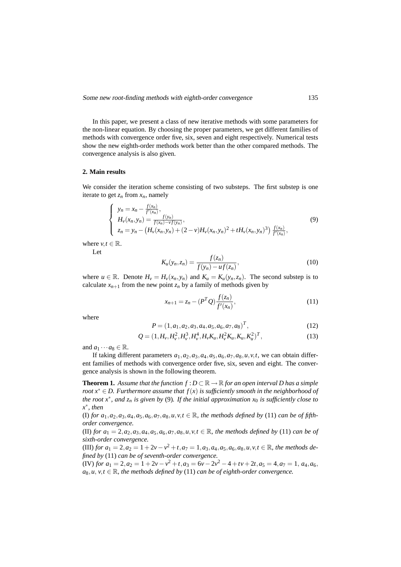In this paper, we present a class of new iterative methods with some parameters for the non-linear equation. By choosing the proper parameters, we get different families of methods with convergence order five, six, seven and eight respectively. Numerical tests show the new eighth-order methods work better than the other compared methods. The convergence analysis is also given.

## **2. Main results**

We consider the iteration scheme consisting of two substeps. The first substep is one iterate to get  $z_n$  from  $x_n$ , namely

$$
\begin{cases}\ny_n = x_n - \frac{f(x_n)}{f'(x_n)}, \\
H_v(x_n, y_n) = \frac{f(y_n)}{f(x_n) - vf(y_n)}, \\
z_n = y_n - \left(H_v(x_n, y_n) + (2 - v)H_v(x_n, y_n)^2 + tH_v(x_n, y_n)^3\right)\frac{f(x_n)}{f'(x_n)},\n\end{cases} \tag{9}
$$

where  $v, t \in \mathbb{R}$ .

Let

$$
K_u(y_n, z_n) = \frac{f(z_n)}{f(y_n) - uf(z_n)},
$$
\n(10)

where  $u \in \mathbb{R}$ . Denote  $H_v = H_v(x_n, y_n)$  and  $K_u = K_u(y_n, z_n)$ . The second substep is to calculate  $x_{n+1}$  from the new point  $z_n$  by a family of methods given by

$$
x_{n+1} = z_n - (P^T Q) \frac{f(z_n)}{f'(x_n)},
$$
\n(11)

where

$$
P = (1, a_1, a_2, a_3, a_4, a_5, a_6, a_7, a_8)^T, \tag{12}
$$

$$
Q = (1, H_v, H_v^2, H_v^3, H_v^4, H_v K_u, H_v^2 K_u, K_u, K_u^2)^T, \tag{13}
$$

and  $a_1 \cdots a_8 \in \mathbb{R}$ .

If taking different parameters  $a_1$ ,  $a_2$ ,  $a_3$ ,  $a_4$ ,  $a_5$ ,  $a_6$ ,  $a_7$ ,  $a_8$ ,  $u$ ,  $v$ ,  $t$ , we can obtain different families of methods with convergence order five, six, seven and eight. The convergence analysis is shown in the following theorem.

**Theorem 1.** Assume that the function  $f: D \subset \mathbb{R} \to \mathbb{R}$  for an open interval D has a simple *root x*<sup>∗</sup> ∈ *D. Furthermore assume that f*(*x*) *is sufficiently smooth in the neighborhood of the root x*∗ *, and z<sup>n</sup> is given by* (9)*. If the initial approximation x*<sup>0</sup> *is sufficiently close to x* ∗ *, then*

(I) *for*  $a_1$ ,  $a_2$ ,  $a_3$ ,  $a_4$ ,  $a_5$ ,  $a_6$ ,  $a_7$ ,  $a_8$ ,  $u$ ,  $v$ ,  $t \in \mathbb{R}$ , the methods defined by (11) *can be of fifthorder convergence.*

(II) *for*  $a_1 = 2, a_2, a_3, a_4, a_5, a_6, a_7, a_8, u, v, t \in \mathbb{R}$ , the methods defined by (11) *can be of sixth-order convergence.*

 $(III)$  *for*  $a_1 = 2, a_2 = 1 + 2v - v^2 + t, a_7 = 1, a_3, a_4, a_5, a_6, a_8, u, v, t \in \mathbb{R}$ , the methods de*fined by* (11) *can be of seventh-order convergence.*

 $(V)$  *for*  $a_1 = 2$ ,  $a_2 = 1 + 2v - v^2 + t$ ,  $a_3 = 6v - 2v^2 - 4 + tv + 2t$ ,  $a_5 = 4$ ,  $a_7 = 1$ ,  $a_4$ ,  $a_6$ ,  $a_8, u, v, t \in \mathbb{R}$ , the methods defined by (11) *can be of eighth-order convergence*.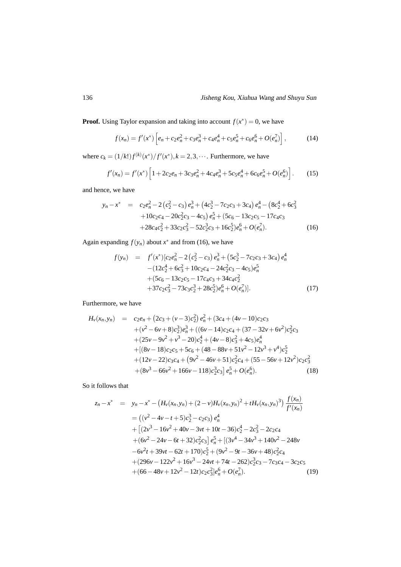**Proof.** Using Taylor expansion and taking into account  $f(x^*) = 0$ , we have

$$
f(x_n) = f'(x^*) \left[ e_n + c_2 e_n^2 + c_3 e_n^3 + c_4 e_n^4 + c_5 e_n^5 + c_6 e_n^6 + O(e_n^7) \right],\tag{14}
$$

where  $c_k = (1/k!) f^{(k)}(x^*) / f'(x^*)$ ,  $k = 2, 3, \dots$ . Furthermore, we have

$$
f'(x_n) = f'(x^*) \left[ 1 + 2c_2 e_n + 3c_3 e_n^2 + 4c_4 e_n^3 + 5c_5 e_n^4 + 6c_6 e_n^5 + O(e_n^6) \right].
$$
 (15)

and hence, we have

$$
y_n - x^* = c_2 e_n^2 - 2 (c_2^2 - c_3) e_n^3 + (4c_2^3 - 7c_2 c_3 + 3c_4) e_n^4 - (8c_2^4 + 6c_3^2 + 10c_2 c_4 - 20c_2^2 c_3 - 4c_5) e_n^5 + (5c_6 - 13c_2 c_5 - 17c_4 c_3 + 28c_4 c_2^2 + 33c_2 c_3^2 - 52c_2^3 c_3 + 16c_2^5) e_n^6 + O(e_n^7).
$$
 (16)

Again expanding  $f(y_n)$  about  $x^*$  and from (16), we have

$$
f(y_n) = f'(x^*)[c_2e_n^2 - 2(c_2^2 - c_3)e_n^3 + (5c_2^3 - 7c_2c_3 + 3c_4)e_n^4 - (12c_2^4 + 6c_3^2 + 10c_2c_4 - 24c_2^2c_3 - 4c_5)e_n^5 + (5c_6 - 13c_2c_5 - 17c_4c_3 + 34c_4c_2^2 + 37c_2c_3^2 - 73c_3c_2^3 + 28c_2^5)e_n^6 + O(e_n^7)]. \tag{17}
$$

Furthermore, we have

$$
H_v(x_n, y_n) = c_2e_n + (2c_3 + (v-3)c_2^2)e_n^2 + (3c_4 + (4v-10)c_2c_3 + (v^2 - 6v + 8)c_2^3)e_n^3 + ((6v - 14)c_2c_4 + (37 - 32v + 6v^2)c_2^2c_3 + (25v - 9v^2 + v^3 - 20)c_2^4 + (4v - 8)c_3^2 + 4c_5)e_n^4 + [(8v - 18)c_2c_5 + 5c_6 + (48 - 88v + 51v^2 - 12v^3 + v^4)c_2^5 + (12v - 22)c_3c_4 + (9v^2 - 46v + 51)c_2^2c_4 + (55 - 56v + 12v^2)c_2c_3^2 + (8v^3 - 66v^2 + 166v - 118)c_2^3c_3\Big]e_n^5 + O(e_n^6).
$$
 (18)

So it follows that

$$
z_n - x^* = y_n - x^* - (H_v(x_n, y_n) + (2 - v)H_v(x_n, y_n)^2 + tH_v(x_n, y_n)^3) \frac{f(x_n)}{f'(x_n)}
$$
  
=  $((v^2 - 4v - t + 5)c_2^3 - c_2c_3) e_n^4$   
+  $[(2v^3 - 16v^2 + 40v - 3vt + 10t - 36)c_2^4 - 2c_3^2 - 2c_2c_4$   
+  $(6v^2 - 24v - 6t + 32)c_2^2c_3] e_n^5 + [(3v^4 - 34v^3 + 140v^2 - 248v - 6v^2t + 39vt - 62t + 170)c_2^5 + (9v^2 - 9t - 36v + 48)c_2^2c_4$   
+  $(296v - 122v^2 + 16v^3 - 24vt + 74t - 262)c_2^3c_3 - 7c_3c_4 - 3c_2c_5$   
+  $(66 - 48v + 12v^2 - 12t)c_2c_3^2]e_n^6 + O(e_n^7).$  (19)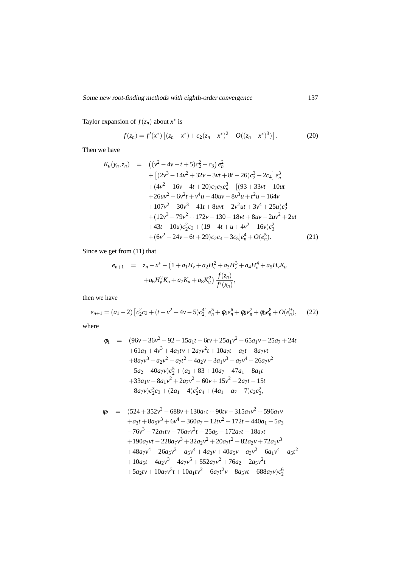Taylor expansion of  $f(z_n)$  about  $x^*$  is

$$
f(z_n) = f'(x^*) \left[ (z_n - x^*) + c_2 (z_n - x^*)^2 + O((z_n - x^*)^3) \right].
$$
 (20)

Then we have

$$
K_u(y_n, z_n) = ((v^2 - 4v - t + 5)c_2^2 - c_3)e_n^2
$$
  
+ 
$$
[(2v^3 - 14v^2 + 32v - 3vt + 8t - 26)c_2^3 - 2c_4]e_n^3
$$
  
+ 
$$
(4v^2 - 16v - 4t + 20)c_2c_3e_n^3 + [(93 + 33vt - 10ut + 26uv^2 - 6v^2t + v^4u - 40uv - 8v^3u + t^2u - 164v + 107v^2 - 30v^3 - 41t + 8uvt - 2v^2ut + 3v^4 + 25u)c_2^4
$$
  
+ 
$$
(12v^3 - 79v^2 + 172v - 130 - 18vt + 8uv - 2uv^2 + 2ut + 43t - 10u)c_2^2c_3 + (19 - 4t + u + 4v^2 - 16v)c_3^2
$$
  
+ 
$$
(6v^2 - 24v - 6t + 29)c_2c_4 - 3c_5[e_n^4 + O(e_n^5)].
$$
 (21)

Since we get from (11) that

$$
e_{n+1} = z_n - x^* - (1 + a_1 H_v + a_2 H_v^2 + a_3 H_v^3 + a_4 H_v^4 + a_5 H_v K_u
$$
  
+ 
$$
a_6 H_v^2 K_u + a_7 K_u + a_8 K_u^2 \frac{f(z_n)}{f'(x_n)},
$$

then we have

$$
e_{n+1} = (a_1 - 2) \left[ c_2^2 c_3 + (t - v^2 + 4v - 5) c_2^4 \right] e_n^5 + \phi_1 e_n^6 + \phi_2 e_n^7 + \phi_3 e_n^8 + O(e_n^9), \quad (22)
$$

where

$$
\phi_1 = (96v - 36v^2 - 92 - 15a_1t - 6tv + 25a_1v^2 - 65a_1v - 25a_7 + 24t
$$
  
+ 61a\_1 + 4v^3 + 4a\_1tv + 2a\_7v^2t + 10a\_7t + a\_2t - 8a\_7vt  
+ 8a\_7v^3 - a\_2v^2 - a\_7t^2 + 4a\_2v - 3a\_1v^3 - a\_7v^4 - 26a\_7v^2  
- 5a\_2 + 40a\_7v)c\_2^5 + (a\_2 + 83 + 10a\_7 - 47a\_1 + 8a\_1t  
+ 33a\_1v - 8a\_1v^2 + 2a\_7v^2 - 60v + 15v^2 - 2a\_7t - 15t  
- 8a\_7v)c\_2^3c\_3 + (2a\_1 - 4)c\_2^2c\_4 + (4a\_1 - a\_7 - 7)c\_2c\_3^2,

$$
\phi_2 = (524 + 352v^2 - 688v + 130a_1t + 90tv - 315a_1v^2 + 596a_1v
$$
  
\n
$$
+a_3t + 8a_5v^3 + 6v^4 + 360a_7 - 12tv^2 - 172t - 440a_1 - 5a_3
$$
  
\n
$$
-76v^3 - 72a_1tv - 76a_7v^2t - 25a_5 - 172a_7t - 18a_2t
$$
  
\n
$$
+190a_7vt - 228a_7v^3 + 32a_2v^2 + 20a_7t^2 - 82a_2v + 72a_1v^3
$$
  
\n
$$
+48a_7v^4 - 26a_5v^2 - a_5v^4 + 4a_3v + 40a_5v - a_3v^2 - 6a_1v^4 - a_5t^2
$$
  
\n
$$
+10a_5t - 4a_2v^3 - 4a_7v^5 + 552a_7v^2 + 76a_2 + 2a_5v^2t
$$
  
\n
$$
+5a_2tv + 10a_7v^3t + 10a_1tv^2 - 6a_7t^2v - 8a_5vt - 688a_7v)c_2^6
$$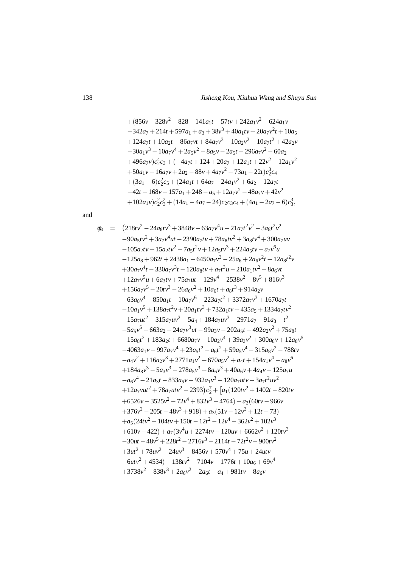$$
+ (856v - 328v2 - 828 - 141a1t - 57tv + 242a1v2 - 624a1v \n- 342a7 + 214t + 597a1 + a3 + 38v3 + 40a1tv + 20a7v2t + 10a5 \n+ 124a7t + 10a2t - 86a7vt + 84a7v3 - 10a2v2 - 10a7t2 + 42a2v \n- 30a1v3 - 10a7v4 + 2a5v2 - 8a5v - 2a5t - 296a7v2 - 60a2 \n+ 496a7v)c24c3 + (-4a7t + 124 + 20a7 + 12a1t + 22v2 - 12a1v2 \n+ 50a1v - 16a7v + 2a2 - 88v + 4a7v2 - 73a1 - 22t)c23c4 \n+ (3a1 - 6)c22c5 + (24a1t + 64a7 - 24a1v2 + 6a2 - 12a7t \n- 42t - 168v - 157a1 + 248 - a5 +
$$

and

$$
\phi_3 = (218tv^2 - 24a_8tv^3 + 3848v - 63a_7v^4u - 21a_7t^2v^2 - 3a_8t^2v^2 \n-90a_5tv^2 + 3a_7v^4ut - 2390a_7tv + 78a_8tv^2 + 3a_8tv^4 + 300a_7uv \n-105a_2tv + 15a_2tv^2 - 7a_5t^2v + 12a_5tv^3 + 224a_5tv - a_7v^6u \n-125a_8 + 962t + 2438a_1 - 6450a_7v^2 - 25a_6 + 2a_6v^2t + 12a_8t^2v \n+30a_7v^4t - 330a_7v^3t - 120a_8tv + a_7t^3u - 210a_1tv^2 - 8a_6vt \n+12a_7v^5u + 6a_3tv + 75a_7ut - 129v^4 - 2538v^2 + 8v^5 + 816v^3 \n+156a_7v^5 - 20tv^3 - 26a_6v^2 + 10a_6t + a_8t^3 + 914a_2v \n-63a_8v^4 - 850a_1t - 10a_7v^6 - 223a_7t^2 + 3372a_7v^3 + 1670a_7t \n-10a_1v^5 + 138a_7t^2v + 20a_1tv^3 + 732a_1tv + 435a_5 + 1334a_7tv^2 \n-15a_7ut^2 - 315a_7uv^2 - 5a_4 + 184a_7uv^3 - 2971a_7 + 91a_3 - t^2 \n-5a_5v^5 - 663a_2 - 24a_7v^3ut - 99a_3v - 202a_5t - 492a_2v^2 + 75a_8t \n-15a_8t^2 + 183a_2t + 6680a_7v - 10a_2v^4 + 39a_3v^2 + 300a_8v + 12a_8v^5 \n-
$$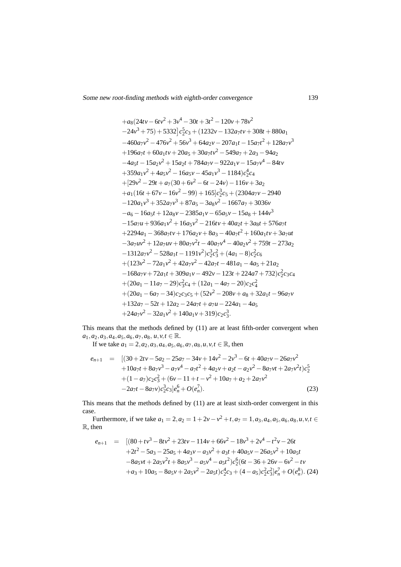Some new root-finding methods with eighth-order convergence

$$
+a_{8}(24tv-6tv^{2}+3v^{4}-30t+3t^{2}-120v+78v^{2}
$$
\n
$$
-24v^{3}+75)+5332]c_{2}^{5}c_{3}+(1232v-132a_{7}tv+308t+880a_{1}
$$
\n
$$
-460a_{7}v^{2}-476v^{2}+56v^{3}+64a_{2}v-207a_{1}t-15a_{7}t^{2}+128a_{7}v^{3}
$$
\n
$$
+196a_{7}t+60a_{1}tv+20a_{5}+30a_{7}tv^{2}-549a_{7}+2a_{3}-94a_{2}
$$
\n
$$
-4a_{5}t-15a_{2}v^{2}+15a_{2}t+784a_{7}v-922a_{1}v-15a_{7}v^{4}-84tv
$$
\n
$$
+359a_{1}v^{2}+4a_{5}v^{2}-16a_{5}v-45a_{1}v^{3}-1184)c_{2}^{4}c_{4}
$$
\n
$$
+[29v^{2}-29t+a_{7}(30+6v^{2}-6t-24v)-116v+3a_{2}
$$
\n
$$
+a_{1}(16t+67v-16v^{2}-99)+165]c_{2}^{3}c_{5}+(2304a_{7}v-2940-120a_{1}v^{3}+352a_{7}v^{3}+87a_{5}-3a_{8}v^{2}-1667a_{7}+3036v
$$
\n
$$
-a_{6}-16a_{5}t+12a_{8}v-2385a_{1}v-65a_{5}v-15a_{8}+144v^{3}
$$
\n
$$
-15a_{7}u+936a_{1}v^{2}+16a_{5}v^{2}-216tv+40a_{2}t+3a_{8}t+576a_{7}t
$$
\n
$$
+2294a_{1}-368a_{7}tv+176a_{2}v+8a_{3}-40a_{7}t^{2}+160a_{1}tv+3a_{7}ut
$$
\n
$$
-3a_{7}uv^{2}+1
$$

This means that the methods defined by (11) are at least fifth-order convergent when  $a_1, a_2, a_3, a_4, a_5, a_6, a_7, a_8, u, v, t \in \mathbb{R}$ .

If we take  $a_1 = 2, a_2, a_3, a_4, a_5, a_6, a_7, a_8, u, v, t \in \mathbb{R}$ , then

$$
e_{n+1} = [(30+2tv-5a_2-25a_7-34v+14v^2-2v^3-6t+40a_7v-26a_7v^2+10a_7t+8a_7v^3-a_7v^4-a_7t^2+4a_2v+a_2t-a_2v^2-8a_7vt+2a_7v^2t)c_2^5+(1-a_7)c_2c_3^2+(6v-11+t-v^2+10a_7+a_2+2a_7v^2-2a_7t-8a_7v)c_2^2c_3|e_9^6+O(e_n^7).
$$
\n(23)

This means that the methods defined by (11) are at least sixth-order convergent in this case.

Furthermore, if we take  $a_1 = 2$ ,  $a_2 = 1 + 2v - v^2 + t$ ,  $a_7 = 1$ ,  $a_3$ ,  $a_4$ ,  $a_5$ ,  $a_6$ ,  $a_8$ ,  $u$ ,  $v$ ,  $t \in$  $\mathbb{R}$ , then

$$
e_{n+1} = [(80 + tv^3 - 8tv^2 + 23tv - 114v + 66v^2 - 18v^3 + 2v^4 - t^2v - 26t + 2t^2 - 5a_3 - 25a_5 + 4a_3v - a_3v^2 + a_3t + 40a_5v - 26a_5v^2 + 10a_5t - 8a_5vt + 2a_5v^2t + 8a_5v^3 - a_5v^4 - a_5t^2)c_2^6(6t - 36 + 26v - 6v^2 - tv + a_3 + 10a_5 - 8a_5v + 2a_5v^2 - 2a_5t)c_2^4c_3 + (4 - a_5)c_2^2c_3^3]e_n^7 + O(e_n^8).
$$
 (24)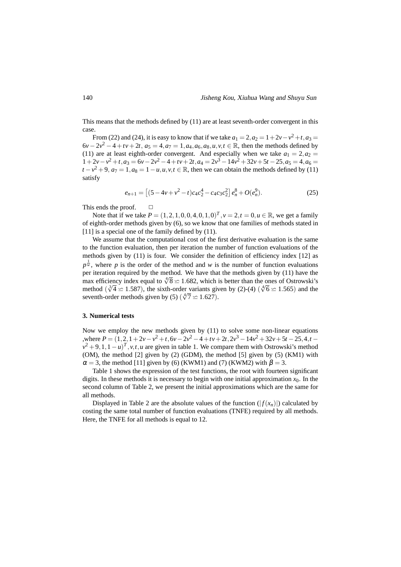This means that the methods defined by (11) are at least seventh-order convergent in this case.

From (22) and (24), it is easy to know that if we take  $a_1 = 2$ ,  $a_2 = 1 + 2v - v^2 + t$ ,  $a_3 = 2$  $6v - 2v^2 - 4 + tv + 2t$ ,  $a_5 = 4$ ,  $a_7 = 1$ ,  $a_4$ ,  $a_6$ ,  $a_8$ ,  $u$ ,  $v$ ,  $t \in \mathbb{R}$ , then the methods defined by (11) are at least eighth-order convergent. And especially when we take  $a_1 = 2, a_2 =$  $1+2v-v^2+t$ ,  $a_3 = 6v-2v^2-4+tv+2t$ ,  $a_4 = 2v^3-14v^2+32v+5t-25$ ,  $a_5 = 4$ ,  $a_6 =$  $t - v^2 + 9$ ,  $a_7 = 1$ ,  $a_8 = 1 - u$ ,  $u$ ,  $v$ ,  $t \in \mathbb{R}$ , then we can obtain the methods defined by (11) satisfy

$$
e_{n+1} = \left[ (5 - 4v + v^2 - t)c_4c_2^4 - c_4c_3c_2^2 \right] e_n^8 + O(e_n^9). \tag{25}
$$

This ends the proof.  $\Box$ 

Note that if we take  $P = (1, 2, 1, 0, 0, 4, 0, 1, 0)^T$ ,  $v = 2$ ,  $t = 0$ ,  $u \in \mathbb{R}$ , we get a family of eighth-order methods given by (6), so we know that one families of methods stated in [11] is a special one of the family defined by  $(11)$ .

We assume that the computational cost of the first derivative evaluation is the same to the function evaluation, then per iteration the number of function evaluations of the methods given by (11) is four. We consider the definition of efficiency index [12] as  $p^{\frac{1}{w}}$ , where *p* is the order of the method and *w* is the number of function evaluations per iteration required by the method. We have that the methods given by (11) have the max efficiency index equal to  $\sqrt[4]{8} \approx 1.682$ , which is better than the ones of Ostrowski's method ( $\sqrt[3]{4} \approx 1.587$ ), the sixth-order variants given by (2)-(4) ( $\sqrt[4]{6} \approx 1.565$ ) and the seventh-order methods given by (5) ( $\sqrt[4]{7} \approx 1.627$ ).

#### **3. Numerical tests**

Now we employ the new methods given by  $(11)$  to solve some non-linear equations  $P = (1, 2, 1 + 2v - v^2 + t, 6v - 2v^2 - 4 + tv + 2t, 2v^3 - 14v^2 + 32v + 5t - 25, 4, t - 25, 4, t - 14v^2 + 32v + 5t - 25, 4, t - 14, 5, t - 14, 5, t - 14, 5, t - 14, 5, t - 14, 5, t - 14, 5, t - 14, 5, t - 14, 5, t - 14, 5, t - 14, 5, t - 14, 5, t - 14, 5, t - 14, 5,$  $v^2 + 9, 1, 1 - u$ <sup>T</sup>, *v*,*t*,*u* are given in table 1. We compare them with Ostrowski's method (OM), the method [2] given by (2) (GDM), the method [5] given by (5) (KM1) with  $\alpha = 3$ , the method [11] given by (6) (KWM1) and (7) (KWM2) with  $\beta = 3$ .

Table 1 shows the expression of the test functions, the root with fourteen significant digits. In these methods it is necessary to begin with one initial approximation  $x<sub>0</sub>$ . In the second column of Table 2, we present the initial approximations which are the same for all methods.

Displayed in Table 2 are the absolute values of the function  $(|f(x_n)|)$  calculated by costing the same total number of function evaluations (TNFE) required by all methods. Here, the TNFE for all methods is equal to 12.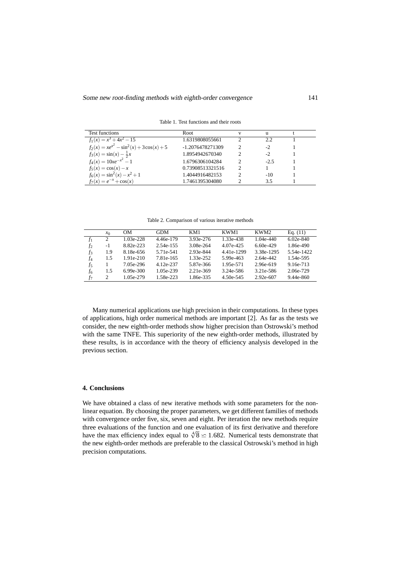Test functions Root November 2012 v u t  $f_1(x) = x^3 + 4x^2 - 15$  1.6319808055661 2 2.2 1  $f_2(x) = xe^{x^2} - \sin^2(x) + 3\cos(x) + 5$  -1.2076478271309 2 -2 1  $f_3(x) = \sin(x) - \frac{1}{2}$ <br> $f_4(x) = 10xe^{-x^2}$ 1.8954942670340 2 -2 1<br>
1.6796306104284 2 -2.5 1<br>
0.73908513321516 2 1 1  $f_4(x) = 10xe^{-x^2} - 1$ <br>  $f_5(x) = \cos(x) - x$ <br>  $f_6(x) = \cos(x) - x$ <br>  $f_7(x) = \cos(x) - x$ <br>  $f_8(x) = \cos(x) - x$ <br>  $f_9(x) = 1$ <br>  $f_1(x) = 10xe^{-x^2} - 1$ <br>  $f_2(x) = 1$ <br>  $f_3(x) = 1$ *f*5(*x*) = cos(*x*)−*x* 0.73908513321516 2 1 1  $f_6(x) = \sin^2(x) - x$ 1.4044916482153 2 -10 1<br>1.7461395304080 2 3.5 1  $f_7(x) = e^{-x} + \cos(x)$  $1.7461395304080$ 

Table 1. Test functions and their roots

Table 2. Comparison of various iterative methods

|                | $x_0$ | 0M            | <b>GDM</b> | KM1       | KWM1       | KWM2        | Eq. $(11)$    |
|----------------|-------|---------------|------------|-----------|------------|-------------|---------------|
| f1             | 2     | 1.03e-228     | 4.46e-179  | 3.93e-276 | 1.33e-438  | $1.04e-440$ | $6.02e - 840$ |
| f <sub>2</sub> | $-1$  | 8.82e-223     | 2.54e-155  | 3.08e-264 | 4.07e-425  | $6.60e-429$ | 1.86e-490     |
| $f_3$          | 1.9   | 8.18e-656     | 5.71e-541  | 2.93e-844 | 4.41e-1299 | 3.38e-1295  | 5.54e-1422    |
| f4             | 1.5   | 1.91e-210     | 7.81e-165  | 1.33e-252 | 5.99e-463  | 2.64e-442   | 1.54e-595     |
| f5             |       | 7.05e-296     | 4.12e-237  | 5.87e-366 | 1.95e-571  | 2.96e-619   | 9.16e-713     |
| f6.            | 1.5   | $6.99e - 300$ | 1.05e-239  | 2.21e-369 | 3.24e-586  | 3.21e-586   | 2.06e-729     |
| f7             | 2     | 1.05e-279     | 1.58e-223  | 1.86e-335 | 4.50e-545  | 2.92e-607   | 9.44e-860     |

Many numerical applications use high precision in their computations. In these types of applications, high order numerical methods are important [2]. As far as the tests we consider, the new eighth-order methods show higher precision than Ostrowski's method with the same TNFE. This superiority of the new eighth-order methods, illustrated by these results, is in accordance with the theory of efficiency analysis developed in the previous section.

# **4. Conclusions**

We have obtained a class of new iterative methods with some parameters for the nonlinear equation. By choosing the proper parameters, we get different families of methods with convergence order five, six, seven and eight. Per iteration the new methods require three evaluations of the function and one evaluation of its first derivative and therefore have the max efficiency index equal to  $\sqrt[4]{8} \approx 1.682$ . Numerical tests demonstrate that the new eighth-order methods are preferable to the classical Ostrowski's method in high precision computations.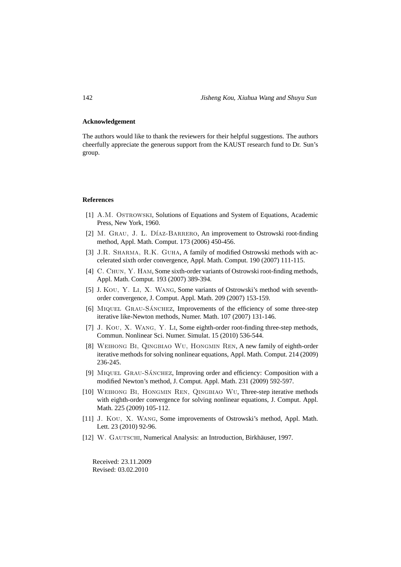# **Acknowledgement**

The authors would like to thank the reviewers for their helpful suggestions. The authors cheerfully appreciate the generous support from the KAUST research fund to Dr. Sun's group.

### **References**

- [1] A.M. Ostrowski, Solutions of Equations and System of Equations, Academic Press, New York, 1960.
- [2] M. GRAU, J. L. DÍAZ-BARRERO, An improvement to Ostrowski root-finding method, Appl. Math. Comput. 173 (2006) 450-456.
- [3] J.R. SHARMA, R.K. GUHA, A family of modified Ostrowski methods with accelerated sixth order convergence, Appl. Math. Comput. 190 (2007) 111-115.
- [4] C. CHUN, Y. HAM, Some sixth-order variants of Ostrowski root-finding methods, Appl. Math. Comput. 193 (2007) 389-394.
- [5] J. Kou, Y. Li, X. Wang, Some variants of Ostrowski's method with seventhorder convergence, J. Comput. Appl. Math. 209 (2007) 153-159.
- [6] MIQUEL GRAU-SÁNCHEZ, Improvements of the efficiency of some three-step iterative like-Newton methods, Numer. Math. 107 (2007) 131-146.
- [7] J. Kou, X. Wang, Y. Li, Some eighth-order root-finding three-step methods, Commun. Nonlinear Sci. Numer. Simulat. 15 (2010) 536-544.
- [8] Weihong Bi, Qingbiao Wu, Hongmin Ren, A new family of eighth-order iterative methods for solving nonlinear equations, Appl. Math. Comput. 214 (2009) 236-245.
- [9] MIQUEL GRAU-SÁNCHEZ, Improving order and efficiency: Composition with a modified Newton's method, J. Comput. Appl. Math. 231 (2009) 592-597.
- [10] Weihong Bi, Hongmin Ren, Qingbiao Wu, Three-step iterative methods with eighth-order convergence for solving nonlinear equations, J. Comput. Appl. Math. 225 (2009) 105-112.
- [11] J. Kou, X. Wang, Some improvements of Ostrowski's method, Appl. Math. Lett. 23 (2010) 92-96.
- [12] W. GAUTSCHI, Numerical Analysis: an Introduction, Birkhäuser, 1997.

Received: 23.11.2009 Revised: 03.02.2010